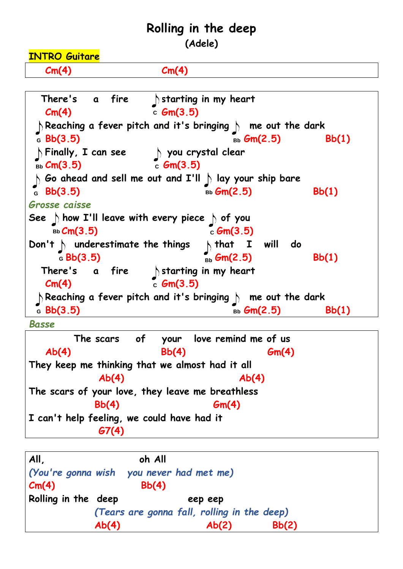## **Rolling in the deep**

**(Adele)**

**INTRO Guitare**

 **Cm(4) Cm(4)**



 **The scars of your love remind me of us Ab(4) Bb(4) Gm(4) They keep me thinking that we almost had it all Ab(4) Ab(4) The scars of your love, they leave me breathless Bb(4) Gm(4) I can't help feeling, we could have had it G7(4)** 

| All.<br>Cm(4)       | oh All<br>(You're gonna wish you never had met me)<br>Bb(4) |  |         |  |       |  |  |
|---------------------|-------------------------------------------------------------|--|---------|--|-------|--|--|
| Rolling in the deep |                                                             |  | eep eep |  |       |  |  |
|                     | (Tears are gonna fall, rolling in the deep)                 |  |         |  |       |  |  |
|                     | Ab(4)                                                       |  | Ab(2)   |  | Bb(2) |  |  |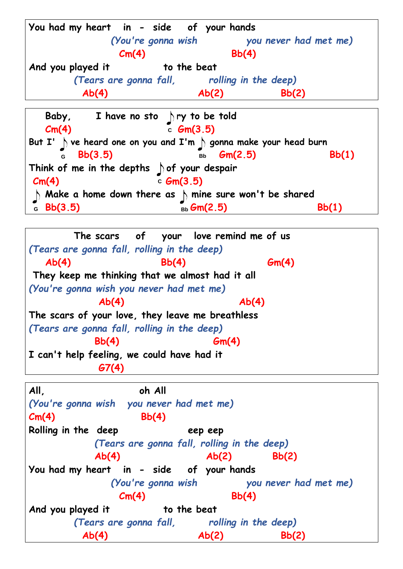**You had my heart in - side of your hands**  *(You're gonna wish you never had met me)*  **Cm(4) Bb(4)** And you played it to the beat  *(Tears are gonna fall, rolling in the deep)*  **Ab(4) Ab(2) Bb(2) Baby, I have no sto - ry to be told Cm(4)** c  $Gm(3.5)$ But I'  $\mathcal{D}$  ve heard one on you and I'm  $\mathcal{D}$  gonna make your head burn **6** Bb(3.5) Bb Gm(2.5) Bb(1) Think of me in the depths of your despair **Cm(4)** c **Gm(3.5) Make a home down there as mine sure won't be shared a Bb(3.5)** Bb(1) Bb(1)

 **The scars of your love remind me of us** *(Tears are gonna fall, rolling in the deep)*  **Ab(4) Bb(4) Gm(4) They keep me thinking that we almost had it all** *(You're gonna wish you never had met me)*  **Ab(4) Ab(4) The scars of your love, they leave me breathless** *(Tears are gonna fall, rolling in the deep)*  **Bb(4) Gm(4) I can't help feeling, we could have had it G7(4)** 

**All, oh All** *(You're gonna wish you never had met me)* **Cm(4) Bb(4) Rolling in the deep eep eep** *(Tears are gonna fall, rolling in the deep)*  **Ab(4) Ab(2) Bb(2) You had my heart in - side of your hands**  *(You're gonna wish you never had met me)*  **Cm(4) Bb(4)** And you played it to the beat  *(Tears are gonna fall, rolling in the deep)*  **Ab(4) Ab(2) Bb(2)**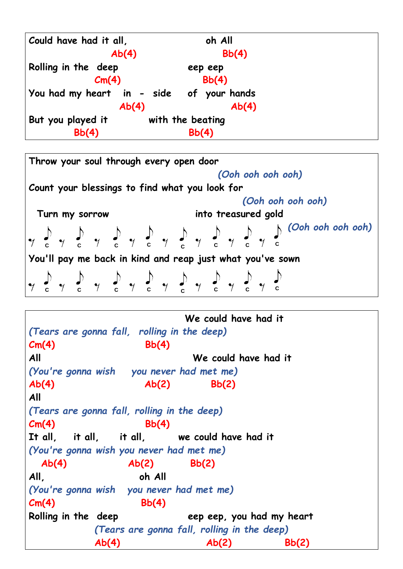| Could have had it all, | oh All                                   |  |
|------------------------|------------------------------------------|--|
| Ab(4)                  | Bb(4)                                    |  |
| Rolling in the deep    | eep eep                                  |  |
| Cm(4)                  | Bb(4)                                    |  |
|                        | You had my heart in - side of your hands |  |
| Ab(4)                  | Ab(4)                                    |  |
| But you played it      | with the beating                         |  |
| Bb(4)                  | Bb(4)                                    |  |

**Throw your soul through every open door**  *(Ooh ooh ooh ooh)* **Count your blessings to find what you look for**  *(Ooh ooh ooh ooh)*  **Turn my sorrow into treasured gold**  *(Ooh ooh ooh ooh)*  **<sup>C</sup> <sup>C</sup> <sup>C</sup> <sup>C</sup> <sup>C</sup> <sup>C</sup> <sup>C</sup> <sup>C</sup> You'll pay me back in kind and reap just what you've sown <sup>C</sup> <sup>C</sup> <sup>C</sup> <sup>C</sup> <sup>C</sup> <sup>C</sup> <sup>C</sup> <sup>C</sup>**

 **We could have had it**  *(Tears are gonna fall, rolling in the deep)* **Cm(4) Bb(4) All We could have had it**  *(You're gonna wish you never had met me)* **Ab(4) Ab(2) Bb(2) All**  *(Tears are gonna fall, rolling in the deep)* **Cm(4) Bb(4) It all, it all, it all, we could have had it** *(You're gonna wish you never had met me)*  **Ab(4) Ab(2) Bb(2) All, oh All** *(You're gonna wish you never had met me)* **Cm(4) Bb(4) Rolling in the deep eep eep, you had my heart** *(Tears are gonna fall, rolling in the deep)*  **Ab(4) Ab(2) Bb(2)**